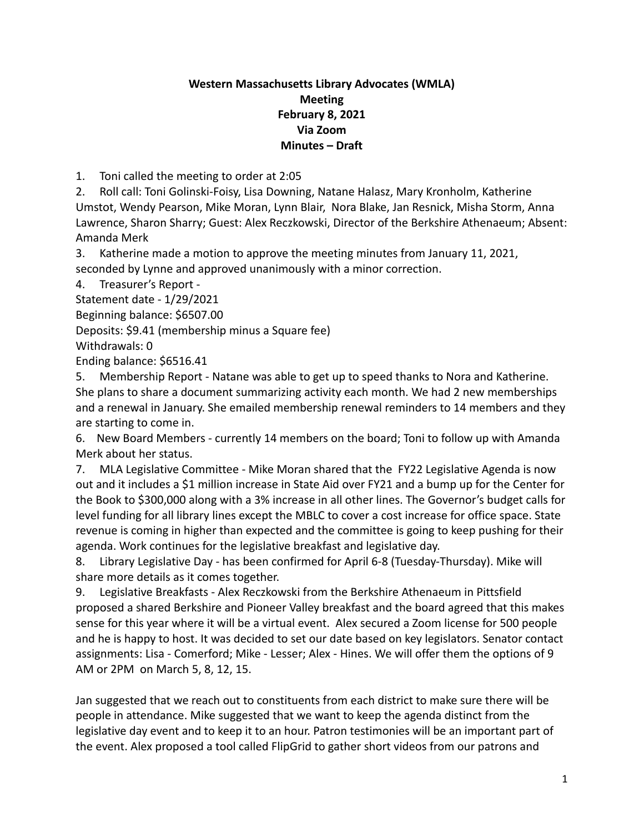## **Western Massachusetts Library Advocates (WMLA) Meeting February 8, 2021 Via Zoom Minutes – Draft**

1. Toni called the meeting to order at 2:05

2. Roll call: Toni Golinski-Foisy, Lisa Downing, Natane Halasz, Mary Kronholm, Katherine Umstot, Wendy Pearson, Mike Moran, Lynn Blair, Nora Blake, Jan Resnick, Misha Storm, Anna Lawrence, Sharon Sharry; Guest: Alex Reczkowski, Director of the Berkshire Athenaeum; Absent: Amanda Merk

3. Katherine made a motion to approve the meeting minutes from January 11, 2021, seconded by Lynne and approved unanimously with a minor correction.

4. Treasurer's Report -

Statement date - 1/29/2021

Beginning balance: \$6507.00

Deposits: \$9.41 (membership minus a Square fee)

Withdrawals: 0

Ending balance: \$6516.41

5. Membership Report - Natane was able to get up to speed thanks to Nora and Katherine. She plans to share a document summarizing activity each month. We had 2 new memberships and a renewal in January. She emailed membership renewal reminders to 14 members and they are starting to come in.

6. New Board Members - currently 14 members on the board; Toni to follow up with Amanda Merk about her status.

7. MLA Legislative Committee - Mike Moran shared that the FY22 Legislative Agenda is now out and it includes a \$1 million increase in State Aid over FY21 and a bump up for the Center for the Book to \$300,000 along with a 3% increase in all other lines. The Governor's budget calls for level funding for all library lines except the MBLC to cover a cost increase for office space. State revenue is coming in higher than expected and the committee is going to keep pushing for their agenda. Work continues for the legislative breakfast and legislative day.

8. Library Legislative Day - has been confirmed for April 6-8 (Tuesday-Thursday). Mike will share more details as it comes together.

9. Legislative Breakfasts - Alex Reczkowski from the Berkshire Athenaeum in Pittsfield proposed a shared Berkshire and Pioneer Valley breakfast and the board agreed that this makes sense for this year where it will be a virtual event. Alex secured a Zoom license for 500 people and he is happy to host. It was decided to set our date based on key legislators. Senator contact assignments: Lisa - Comerford; Mike - Lesser; Alex - Hines. We will offer them the options of 9 AM or 2PM on March 5, 8, 12, 15.

Jan suggested that we reach out to constituents from each district to make sure there will be people in attendance. Mike suggested that we want to keep the agenda distinct from the legislative day event and to keep it to an hour. Patron testimonies will be an important part of the event. Alex proposed a tool called FlipGrid to gather short videos from our patrons and